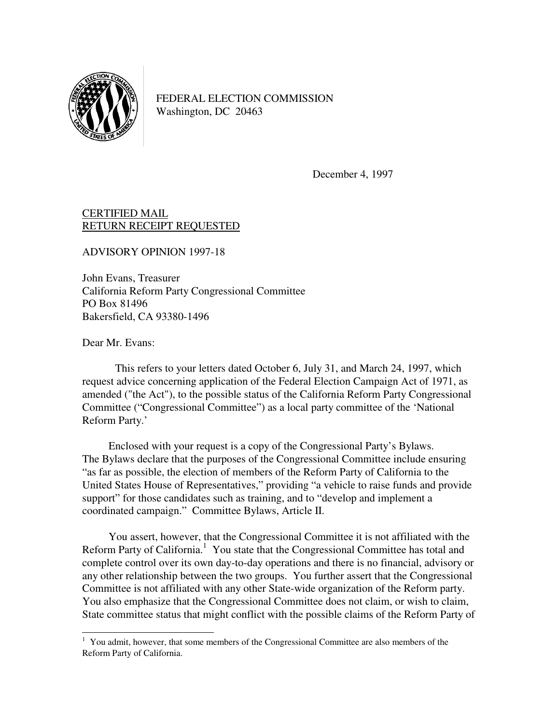

FEDERAL ELECTION COMMISSION Washington, DC 20463

December 4, 1997

## CERTIFIED MAIL RETURN RECEIPT REQUESTED

ADVISORY OPINION 1997-18

John Evans, Treasurer California Reform Party Congressional Committee PO Box 81496 Bakersfield, CA 93380-1496

Dear Mr. Evans:

 This refers to your letters dated October 6, July 31, and March 24, 1997, which request advice concerning application of the Federal Election Campaign Act of 1971, as amended ("the Act"), to the possible status of the California Reform Party Congressional Committee ("Congressional Committee") as a local party committee of the 'National Reform Party.'

 Enclosed with your request is a copy of the Congressional Party's Bylaws. The Bylaws declare that the purposes of the Congressional Committee include ensuring "as far as possible, the election of members of the Reform Party of California to the United States House of Representatives," providing "a vehicle to raise funds and provide support" for those candidates such as training, and to "develop and implement a coordinated campaign." Committee Bylaws, Article II.

 You assert, however, that the Congressional Committee it is not affiliated with the Reform Party of California.<sup>1</sup> You state that the Congressional Committee has total and complete control over its own day-to-day operations and there is no financial, advisory or any other relationship between the two groups. You further assert that the Congressional Committee is not affiliated with any other State-wide organization of the Reform party. You also emphasize that the Congressional Committee does not claim, or wish to claim, State committee status that might conflict with the possible claims of the Reform Party of

 1 You admit, however, that some members of the Congressional Committee are also members of the Reform Party of California.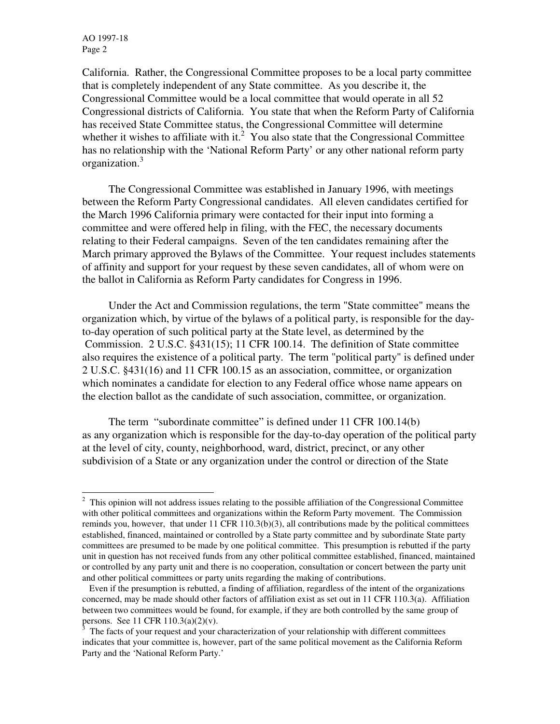AO 1997-18 Page 2

j

California. Rather, the Congressional Committee proposes to be a local party committee that is completely independent of any State committee. As you describe it, the Congressional Committee would be a local committee that would operate in all 52 Congressional districts of California. You state that when the Reform Party of California has received State Committee status, the Congressional Committee will determine whether it wishes to affiliate with it.<sup>2</sup> You also state that the Congressional Committee has no relationship with the 'National Reform Party' or any other national reform party organization.<sup>3</sup>

 The Congressional Committee was established in January 1996, with meetings between the Reform Party Congressional candidates. All eleven candidates certified for the March 1996 California primary were contacted for their input into forming a committee and were offered help in filing, with the FEC, the necessary documents relating to their Federal campaigns. Seven of the ten candidates remaining after the March primary approved the Bylaws of the Committee. Your request includes statements of affinity and support for your request by these seven candidates, all of whom were on the ballot in California as Reform Party candidates for Congress in 1996.

 Under the Act and Commission regulations, the term "State committee" means the organization which, by virtue of the bylaws of a political party, is responsible for the dayto-day operation of such political party at the State level, as determined by the Commission. 2 U.S.C. §431(15); 11 CFR 100.14. The definition of State committee also requires the existence of a political party. The term "political party" is defined under 2 U.S.C. §431(16) and 11 CFR 100.15 as an association, committee, or organization which nominates a candidate for election to any Federal office whose name appears on the election ballot as the candidate of such association, committee, or organization.

The term "subordinate committee" is defined under 11 CFR 100.14(b) as any organization which is responsible for the day-to-day operation of the political party at the level of city, county, neighborhood, ward, district, precinct, or any other subdivision of a State or any organization under the control or direction of the State

 $2$  This opinion will not address issues relating to the possible affiliation of the Congressional Committee with other political committees and organizations within the Reform Party movement. The Commission reminds you, however, that under 11 CFR 110.3(b)(3), all contributions made by the political committees established, financed, maintained or controlled by a State party committee and by subordinate State party committees are presumed to be made by one political committee. This presumption is rebutted if the party unit in question has not received funds from any other political committee established, financed, maintained or controlled by any party unit and there is no cooperation, consultation or concert between the party unit and other political committees or party units regarding the making of contributions.

Even if the presumption is rebutted, a finding of affiliation, regardless of the intent of the organizations concerned, may be made should other factors of affiliation exist as set out in 11 CFR 110.3(a). Affiliation between two committees would be found, for example, if they are both controlled by the same group of persons. See 11 CFR 110.3(a)(2)(v).

<sup>3</sup> The facts of your request and your characterization of your relationship with different committees indicates that your committee is, however, part of the same political movement as the California Reform Party and the 'National Reform Party.'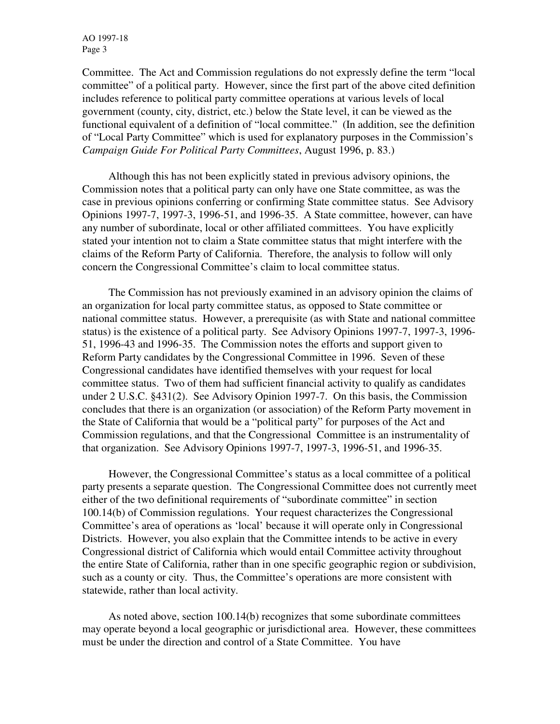AO 1997-18 Page 3

Committee. The Act and Commission regulations do not expressly define the term "local committee" of a political party. However, since the first part of the above cited definition includes reference to political party committee operations at various levels of local government (county, city, district, etc.) below the State level, it can be viewed as the functional equivalent of a definition of "local committee." (In addition, see the definition of "Local Party Committee" which is used for explanatory purposes in the Commission's *Campaign Guide For Political Party Committees*, August 1996, p. 83.)

 Although this has not been explicitly stated in previous advisory opinions, the Commission notes that a political party can only have one State committee, as was the case in previous opinions conferring or confirming State committee status. See Advisory Opinions 1997-7, 1997-3, 1996-51, and 1996-35. A State committee, however, can have any number of subordinate, local or other affiliated committees. You have explicitly stated your intention not to claim a State committee status that might interfere with the claims of the Reform Party of California. Therefore, the analysis to follow will only concern the Congressional Committee's claim to local committee status.

 The Commission has not previously examined in an advisory opinion the claims of an organization for local party committee status, as opposed to State committee or national committee status. However, a prerequisite (as with State and national committee status) is the existence of a political party. See Advisory Opinions 1997-7, 1997-3, 1996- 51, 1996-43 and 1996-35. The Commission notes the efforts and support given to Reform Party candidates by the Congressional Committee in 1996. Seven of these Congressional candidates have identified themselves with your request for local committee status. Two of them had sufficient financial activity to qualify as candidates under 2 U.S.C. §431(2). See Advisory Opinion 1997-7. On this basis, the Commission concludes that there is an organization (or association) of the Reform Party movement in the State of California that would be a "political party" for purposes of the Act and Commission regulations, and that the Congressional Committee is an instrumentality of that organization. See Advisory Opinions 1997-7, 1997-3, 1996-51, and 1996-35.

 However, the Congressional Committee's status as a local committee of a political party presents a separate question. The Congressional Committee does not currently meet either of the two definitional requirements of "subordinate committee" in section 100.14(b) of Commission regulations. Your request characterizes the Congressional Committee's area of operations as 'local' because it will operate only in Congressional Districts. However, you also explain that the Committee intends to be active in every Congressional district of California which would entail Committee activity throughout the entire State of California, rather than in one specific geographic region or subdivision, such as a county or city. Thus, the Committee's operations are more consistent with statewide, rather than local activity.

 As noted above, section 100.14(b) recognizes that some subordinate committees may operate beyond a local geographic or jurisdictional area. However, these committees must be under the direction and control of a State Committee. You have